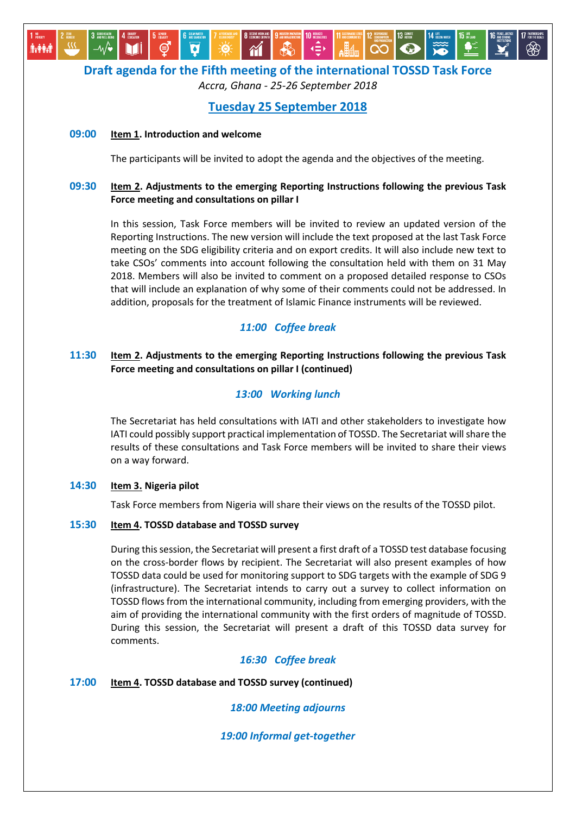## **Draft agenda for the Fifth meeting of the international TOSSD Task Force**

*Accra, Ghana - 25-26 September 2018*

## **Tuesday 25 September 2018**

#### **09:00 Item 1. Introduction and welcome**

MI

**∱⊱ቅቅ⊹** 

The participants will be invited to adopt the agenda and the objectives of the meeting.

### **09:30 Item 2. Adjustments to the emerging Reporting Instructions following the previous Task Force meeting and consultations on pillar I**

In this session, Task Force members will be invited to review an updated version of the Reporting Instructions. The new version will include the text proposed at the last Task Force meeting on the SDG eligibility criteria and on export credits. It will also include new text to take CSOs' comments into account following the consultation held with them on 31 May 2018. Members will also be invited to comment on a proposed detailed response to CSOs that will include an explanation of why some of their comments could not be addressed. In addition, proposals for the treatment of Islamic Finance instruments will be reviewed.

## *11:00 Coffee break*

### **11:30 Item 2. Adjustments to the emerging Reporting Instructions following the previous Task Force meeting and consultations on pillar I (continued)**

#### *13:00 Working lunch*

The Secretariat has held consultations with IATI and other stakeholders to investigate how IATI could possibly support practical implementation of TOSSD. The Secretariat will share the results of these consultations and Task Force members will be invited to share their views on a way forward.

#### **14:30 Item 3. Nigeria pilot**

Task Force members from Nigeria will share their views on the results of the TOSSD pilot.

#### **15:30 Item 4. TOSSD database and TOSSD survey**

During this session, the Secretariat will present a first draft of a TOSSD test database focusing on the cross-border flows by recipient. The Secretariat will also present examples of how TOSSD data could be used for monitoring support to SDG targets with the example of SDG 9 (infrastructure). The Secretariat intends to carry out a survey to collect information on TOSSD flows from the international community, including from emerging providers, with the aim of providing the international community with the first orders of magnitude of TOSSD. During this session, the Secretariat will present a draft of this TOSSD data survey for comments.

## *16:30 Coffee break*

#### **17:00 Item 4. TOSSD database and TOSSD survey (continued)**

*18:00 Meeting adjourns*

*19:00 Informal get-together*